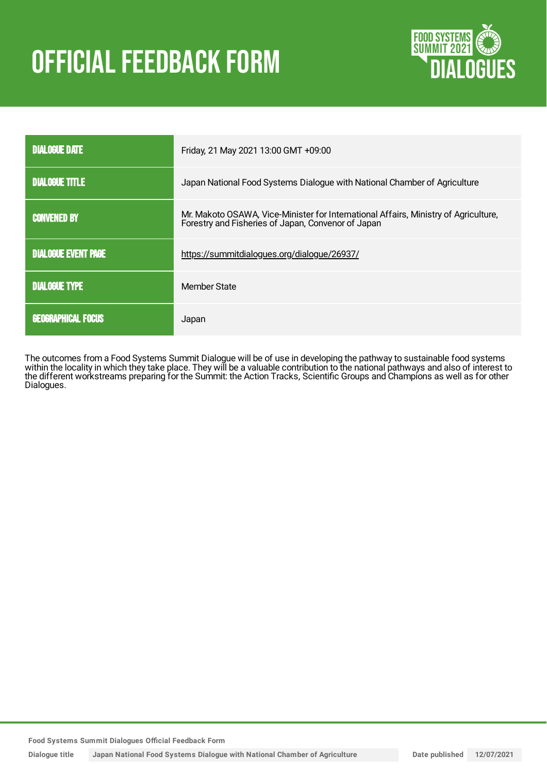# **OFFICIAL FEEDBACK FORM**



| <b>DIALOGUE DATE</b>       | Friday, 21 May 2021 13:00 GMT +09:00                                                                                                      |  |  |
|----------------------------|-------------------------------------------------------------------------------------------------------------------------------------------|--|--|
| <b>DIALOGUE TITLE</b>      | Japan National Food Systems Dialogue with National Chamber of Agriculture                                                                 |  |  |
| <b>CONVENED BY</b>         | Mr. Makoto OSAWA, Vice-Minister for International Affairs, Ministry of Agriculture,<br>Forestry and Fisheries of Japan, Convenor of Japan |  |  |
| <b>DIALOGUE EVENT PAGE</b> | https://summitdialogues.org/dialogue/26937/                                                                                               |  |  |
| <b>DIALOGUE TYPE</b>       | Member State                                                                                                                              |  |  |
| <b>GEOGRAPHICAL FOCUS</b>  | Japan                                                                                                                                     |  |  |

The outcomes from a Food Systems Summit Dialogue will be of use in developing the pathway to sustainable food systems within the locality in which they take place. They will be a valuable contribution to the national pathways and also of interest to the different workstreams preparing for the Summit: the Action Tracks, Scientific Groups and Champions as well as for other Dialogues.

**Food Systems Summit Dialogues Official Feedback Form**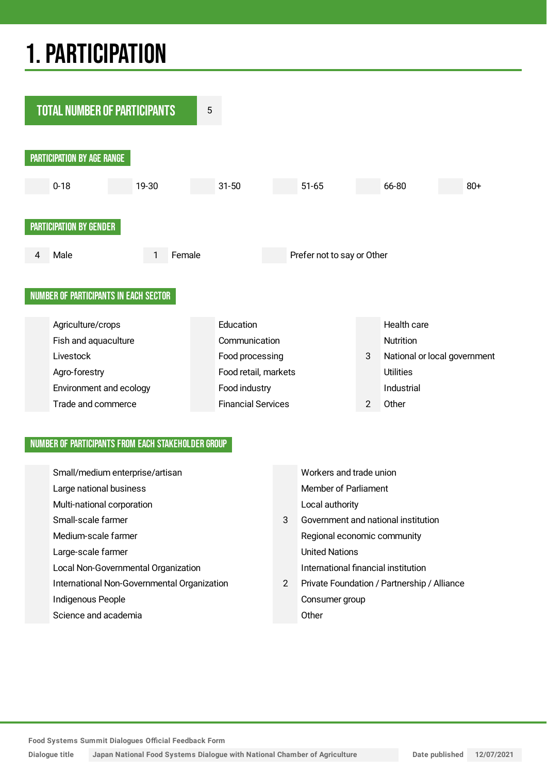## 1.PARTICIPATION



### NUMBER OF PARTICIPANTS FROM EACH STAKEHOLDER GROUP

| Small/medium enterprise/artisan             |   | Workers and trade union                     |
|---------------------------------------------|---|---------------------------------------------|
| Large national business                     |   | Member of Parliament                        |
| Multi-national corporation                  |   | Local authority                             |
| Small-scale farmer                          | 3 | Government and national institution         |
| Medium-scale farmer                         |   | Regional economic community                 |
| Large-scale farmer                          |   | <b>United Nations</b>                       |
| Local Non-Governmental Organization         |   | International financial institution         |
| International Non-Governmental Organization | 2 | Private Foundation / Partnership / Alliance |
| Indigenous People                           |   | Consumer group                              |
| Science and academia                        |   | Other                                       |

**Food Systems Summit Dialogues Official Feedback Form**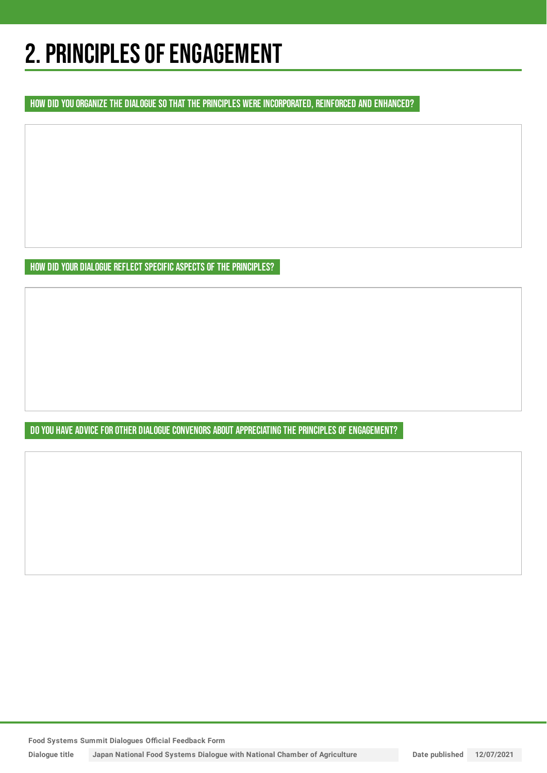## 2. PRINCIPLES OF ENGAGEMENT

HOW DID YOU ORGANIZE THE DIALOGUE SO THAT THE PRINCIPLES WERE INCORPORATED, REINFORCED AND ENHANCED?

HOW DID YOUR DIALOGUE REFLECT SPECIFIC ASPECTS OF THE PRINCIPLES?

DO YOU HAVE ADVICE FOR OTHER DIALOGUE CONVENORS ABOUT APPRECIATING THE PRINCIPLES OF ENGAGEMENT?

**Food Systems Summit Dialogues Official Feedback Form**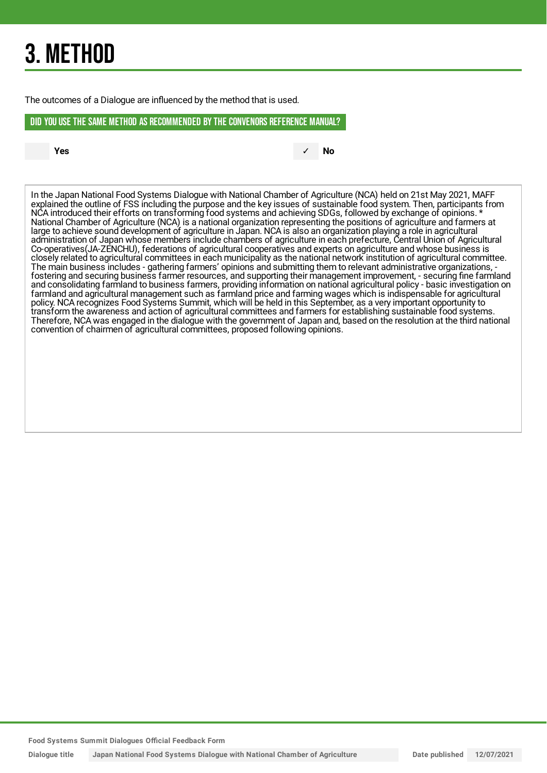## 3. METHOD

The outcomes of a Dialogue are influenced by the method that is used.

#### DID YOU USE THE SAME METHOD AS RECOMMENDED BYTHE CONVENORS REFERENCE MANUAL?

**Yes** ✓ **No**

In the Japan National Food Systems Dialogue with National Chamber of Agriculture (NCA) held on 21st May 2021, MAFF explained the outline of FSS including the purpose and the key issues of sustainable food system. Then, participants from NCA introduced their efforts on transforming food systems and achieving SDGs, followed by exchange of opinions. \* National Chamber of Agriculture (NCA) is a national organization representing the positions of agriculture and farmers at large to achieve sound development of agriculture in Japan. NCA is also an organization playing a role in agricultural administration of Japan whose members include chambers of agriculture in each prefecture, Central Union of Agricultural Co-operatives(JA-ZENCHU), federations of agricultural cooperatives and experts on agriculture and whose business is closely related to agricultural committees in each municipality as the national network institution of agricultural committee. The main business includes - gathering farmers' opinions and submitting them to relevant administrative organizations, fostering and securing business farmer resources, and supporting their management improvement, - securing fine farmland and consolidating farmland to business farmers, providing information on national agricultural policy - basic investigation on farmland and agricultural management such as farmland price and farming wages which is indispensable for agricultural policy. NCA recognizes Food Systems Summit, which will be held in this September, as a very important opportunity to transform the awareness and action of agricultural committees and farmers for establishing sustainable food systems. Therefore, NCA was engaged in the dialogue with the government of Japan and, based on the resolution at the third national convention of chairmen of agricultural committees, proposed following opinions.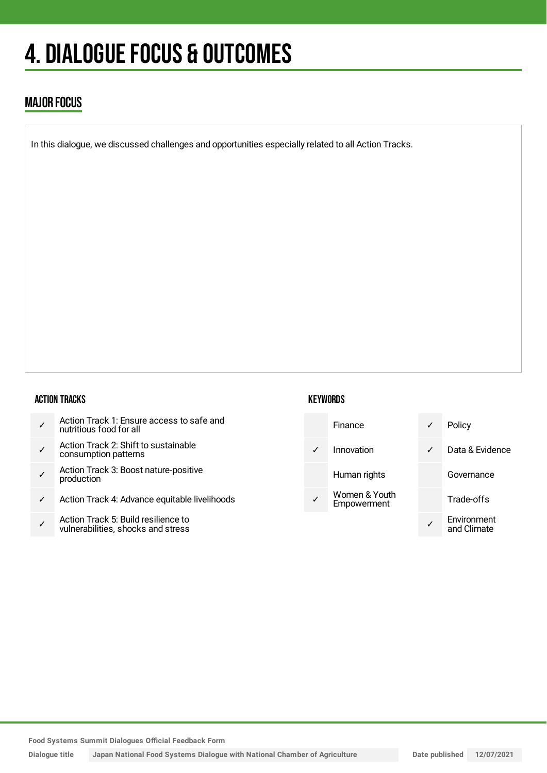## 4. DIALOGUE FOCUS & OUTCOMES

## MAJOR FOCUS

In this dialogue, we discussed challenges and opportunities especially related to all Action Tracks.

### ACTION TRACKS

| Action Track 1: Ensure access to safe and<br>nutritious food for all |  |
|----------------------------------------------------------------------|--|
|----------------------------------------------------------------------|--|

- ✓ Action Track 2: Shift to sustainable consumption patterns
- ✓ Action Track 3: Boost nature-positive production
- ✓ Action Track 4: Advance equitable livelihoods
- ✓ Action Track 5: Build resilience to vulnerabilities, shocks and stress

### **KEYWORDS**



**Food Systems Summit Dialogues Official Feedback Form**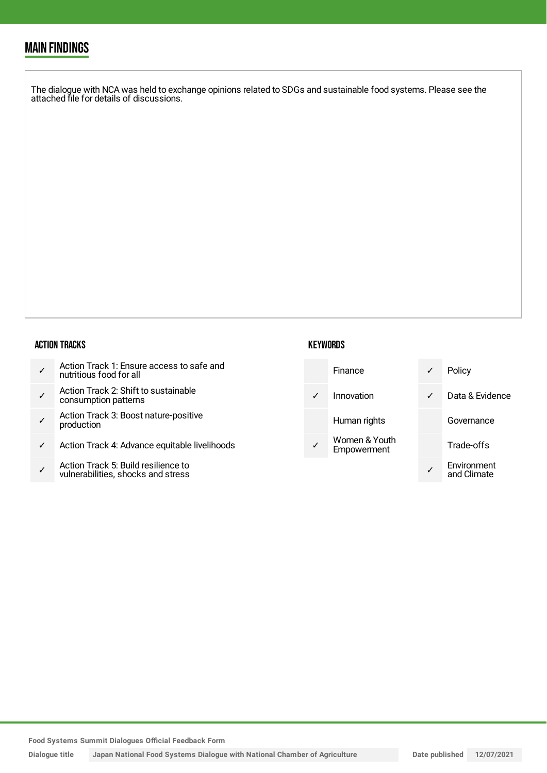## MAIN FINDINGS

The dialogue with NCA was held to exchange opinions related to SDGs and sustainable food systems. Please see the attached file for details of discussions.

#### ACTION TRACKS

| Action Track 1: Ensure access to safe and<br>nutritious food for all |  |
|----------------------------------------------------------------------|--|
|----------------------------------------------------------------------|--|

- ✓ Action Track 2: Shift to sustainable consumption patterns
- ✓ Action Track 3: Boost nature-positive production
- ✓ Action Track 4: Advance equitable livelihoods
- ✓ Action Track 5: Build resilience to vulnerabilities, shocks and stress

### **KEYWORDS**

| <b>Finance</b>                      |   | Policy                     |
|-------------------------------------|---|----------------------------|
| Innovation                          | ✓ | Data & Evidence            |
| Human rights                        |   | Governance                 |
| Women & Youth<br><b>Empowerment</b> |   | Trade-offs                 |
|                                     |   | Environment<br>and Climate |

**Food Systems Summit Dialogues Official Feedback Form**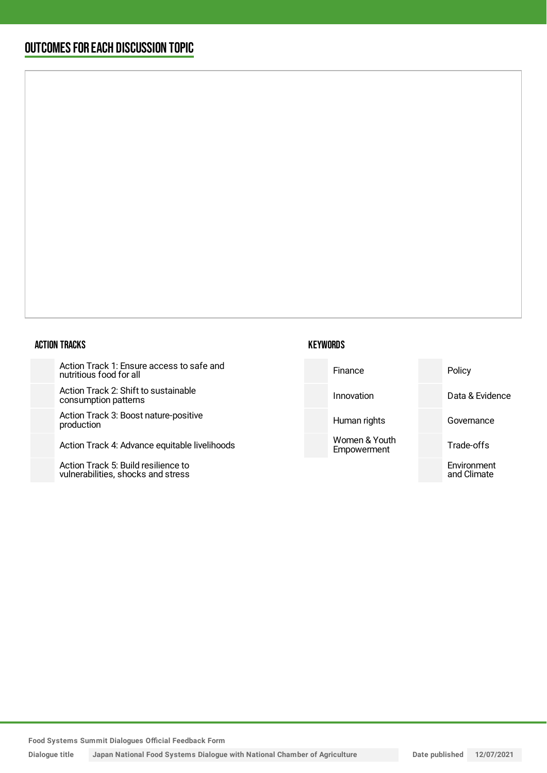## OUTCOMESFOR EACH DISCUSSION TOPIC

#### ACTION TRACKS

Action Track 1: Ensure access to safe and nutritious food for all

Action Track 2: Shift to sustainable consumption patterns

Action Track 3: Boost nature-positi production

Action Track 4: Advance equitable

Action Track 5: Build resilience to vulnerabilities, shocks and stress



| ate and     | Finance                      | Policy                     |
|-------------|------------------------------|----------------------------|
|             | Innovation                   | Data & Evidence            |
| ive         | Human rights                 | Governance                 |
| livelihoods | Women & Youth<br>Empowerment | Trade-offs                 |
|             |                              | Environment<br>and Climate |
|             |                              |                            |

**Food Systems Summit Dialogues Official Feedback Form**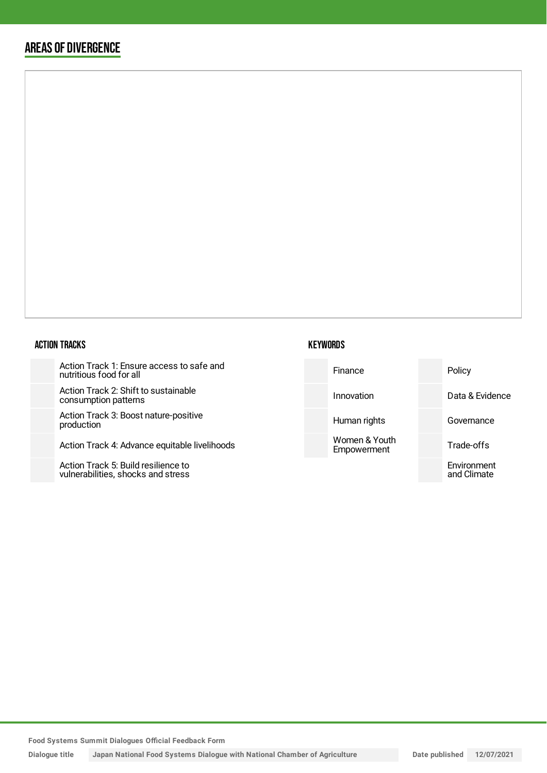## AREAS OF DIVERGENCE

#### ACTION TRACKS

Action Track 1: Ensure access to safe and nutritious food for all

Action Track 2: Shift to sustainabl consumption patterns

Action Track 3: Boost nature-posit production

Action Track 4: Advance equitable

Action Track 5: Build resilience to vulnerabilities, shocks and stress



| safe and    | Finance                      | Policy                     |
|-------------|------------------------------|----------------------------|
| le          | Innovation                   | Data & Evidence            |
| tive        | Human rights                 | Governance                 |
| livelihoods | Women & Youth<br>Empowerment | Trade-offs                 |
|             |                              | Environment<br>and Climate |
|             |                              |                            |

**Food Systems Summit Dialogues Official Feedback Form**